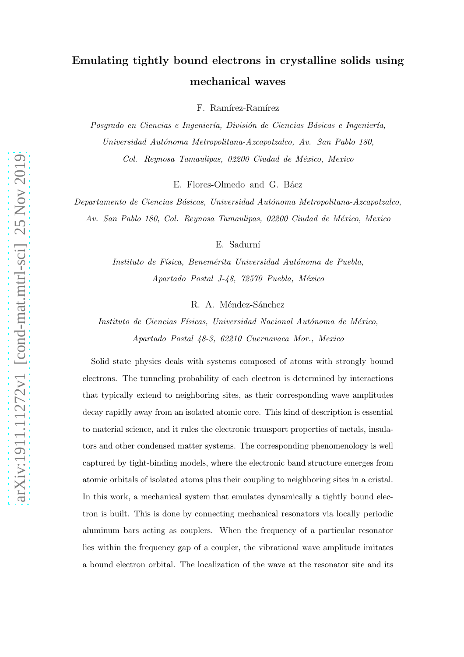# Emulating tightly bound electrons in crystalline solids using mechanical waves

F. Ramírez-Ramírez

Posgrado en Ciencias e Ingeniería, División de Ciencias Básicas e Ingeniería, *Universidad Aut´onoma Metropolitana-Azcapotzalco, Av. San Pablo 180, Col. Reynosa Tamaulipas, 02200 Ciudad de M´exico, Mexico*

E. Flores-Olmedo and G. Báez

*Departamento de Ciencias B´asicas, Universidad Aut´onoma Metropolitana-Azcapotzalco, Av. San Pablo 180, Col. Reynosa Tamaulipas, 02200 Ciudad de M´exico, Mexico*

E. Sadurní

*Instituto de F´ısica, Benem´erita Universidad Aut´onoma de Puebla, Apartado Postal J-48, 72570 Puebla, M´exico*

R. A. Méndez-Sánchez

*Instituto de Ciencias Físicas, Universidad Nacional Autónoma de México, Apartado Postal 48-3, 62210 Cuernavaca Mor., Mexico*

Solid state physics deals with systems composed of atoms with strongly bound electrons. The tunneling probability of each electron is determined by interactions that typically extend to neighboring sites, as their corresponding wave amplitudes decay rapidly away from an isolated atomic core. This kind of description is essential to material science, and it rules the electronic transport properties of metals, insulators and other condensed matter systems. The corresponding phenomenology is well captured by tight-binding models, where the electronic band structure emerges from atomic orbitals of isolated atoms plus their coupling to neighboring sites in a cristal. In this work, a mechanical system that emulates dynamically a tightly bound electron is built. This is done by connecting mechanical resonators via locally periodic aluminum bars acting as couplers. When the frequency of a particular resonator lies within the frequency gap of a coupler, the vibrational wave amplitude imitates a bound electron orbital. The localization of the wave at the resonator site and its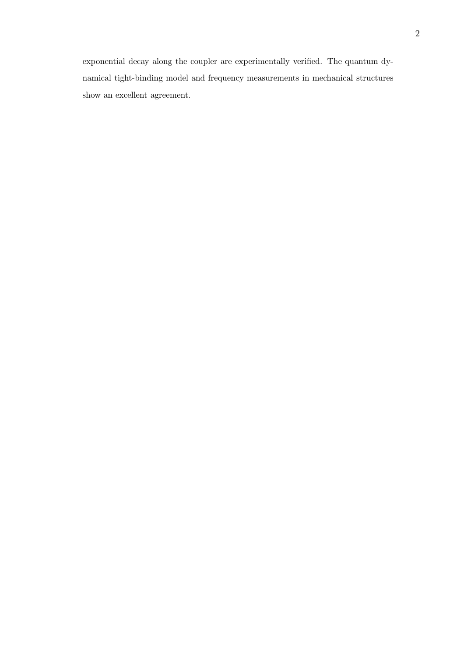exponential decay along the coupler are experimentally verified. The quantum dynamical tight-binding model and frequency measurements in mechanical structures show an excellent agreement.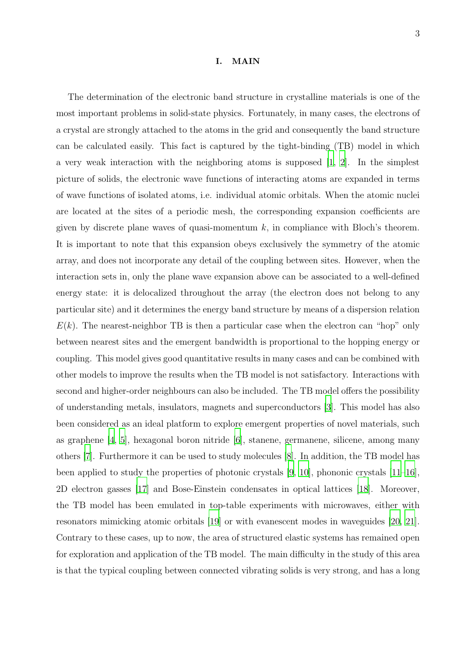#### I. MAIN

The determination of the electronic band structure in crystalline materials is one of the most important problems in solid-state physics. Fortunately, in many cases, the electrons of a crystal are strongly attached to the atoms in the grid and consequently the band structure can be calculated easily. This fact is captured by the tight-binding (TB) model in which a very weak interaction with the neighboring atoms is supposed [\[1,](#page-8-0) [2](#page-8-1)]. In the simplest picture of solids, the electronic wave functions of interacting atoms are expanded in terms of wave functions of isolated atoms, i.e. individual atomic orbitals. When the atomic nuclei are located at the sites of a periodic mesh, the corresponding expansion coefficients are given by discrete plane waves of quasi-momentum  $k$ , in compliance with Bloch's theorem. It is important to note that this expansion obeys exclusively the symmetry of the atomic array, and does not incorporate any detail of the coupling between sites. However, when the interaction sets in, only the plane wave expansion above can be associated to a well-defined energy state: it is delocalized throughout the array (the electron does not belong to any particular site) and it determines the energy band structure by means of a dispersion relation  $E(k)$ . The nearest-neighbor TB is then a particular case when the electron can "hop" only between nearest sites and the emergent bandwidth is proportional to the hopping energy or coupling. This model gives good quantitative results in many cases and can be combined with other models to improve the results when the TB model is not satisfactory. Interactions with second and higher-order neighbours can also be included. The TB model offers the possibility of understanding metals, insulators, magnets and superconductors [\[3](#page-8-2)]. This model has also been considered as an ideal platform to explore emergent properties of novel materials, such as graphene [\[4,](#page-8-3) [5](#page-8-4)], hexagonal boron nitride [\[6](#page-9-0)], stanene, germanene, silicene, among many others [\[7\]](#page-9-1). Furthermore it can be used to study molecules [\[8\]](#page-10-0). In addition, the TB model has been applied to study the properties of photonic crystals [\[9,](#page-10-1) [10\]](#page-10-2), phononic crystals [\[11](#page-10-3)[–16\]](#page-10-4), 2D electron gasses [\[17](#page-10-5)] and Bose-Einstein condensates in optical lattices [\[18](#page-10-6)]. Moreover, the TB model has been emulated in top-table experiments with microwaves, either with resonators mimicking atomic orbitals [\[19\]](#page-10-7) or with evanescent modes in waveguides [\[20,](#page-10-8) [21\]](#page-10-9). Contrary to these cases, up to now, the area of structured elastic systems has remained open for exploration and application of the TB model. The main difficulty in the study of this area is that the typical coupling between connected vibrating solids is very strong, and has a long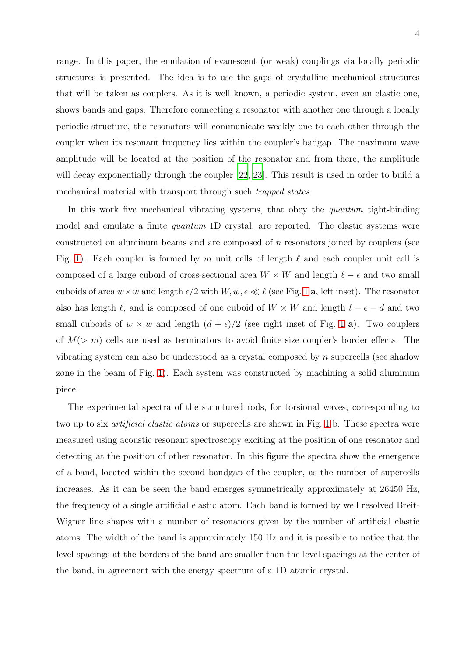range. In this paper, the emulation of evanescent (or weak) couplings via locally periodic structures is presented. The idea is to use the gaps of crystalline mechanical structures that will be taken as couplers. As it is well known, a periodic system, even an elastic one, shows bands and gaps. Therefore connecting a resonator with another one through a locally periodic structure, the resonators will communicate weakly one to each other through the coupler when its resonant frequency lies within the coupler's badgap. The maximum wave amplitude will be located at the position of the resonator and from there, the amplitude will decay exponentially through the coupler [\[22,](#page-10-10) [23](#page-11-0)]. This result is used in order to build a mechanical material with transport through such *trapped states*.

In this work five mechanical vibrating systems, that obey the quantum tight-binding model and emulate a finite *quantum* 1D crystal, are reported. The elastic systems were constructed on aluminum beams and are composed of  $n$  resonators joined by couplers (see Fig. [1\)](#page-4-0). Each coupler is formed by m unit cells of length  $\ell$  and each coupler unit cell is composed of a large cuboid of cross-sectional area  $W \times W$  and length  $\ell - \epsilon$  and two small cuboids of area  $w \times w$  and length  $\epsilon/2$  with  $W, w, \epsilon \ll \ell$  (see Fig. [1](#page-4-0) a, left inset). The resonator also has length  $\ell$ , and is composed of one cuboid of  $W \times W$  and length  $l - \epsilon - d$  and two small cuboids of  $w \times w$  and length  $(d + \epsilon)/2$  (see right inset of Fig. [1](#page-4-0) a). Two couplers of  $M(> m)$  cells are used as terminators to avoid finite size coupler's border effects. The vibrating system can also be understood as a crystal composed by  $n$  supercells (see shadow zone in the beam of Fig. [1\)](#page-4-0). Each system was constructed by machining a solid aluminum piece.

The experimental spectra of the structured rods, for torsional waves, corresponding to two up to six artificial elastic atoms or supercells are shown in Fig. [1](#page-4-0) b. These spectra were measured using acoustic resonant spectroscopy exciting at the position of one resonator and detecting at the position of other resonator. In this figure the spectra show the emergence of a band, located within the second bandgap of the coupler, as the number of supercells increases. As it can be seen the band emerges symmetrically approximately at 26450 Hz, the frequency of a single artificial elastic atom. Each band is formed by well resolved Breit-Wigner line shapes with a number of resonances given by the number of artificial elastic atoms. The width of the band is approximately 150 Hz and it is possible to notice that the level spacings at the borders of the band are smaller than the level spacings at the center of the band, in agreement with the energy spectrum of a 1D atomic crystal.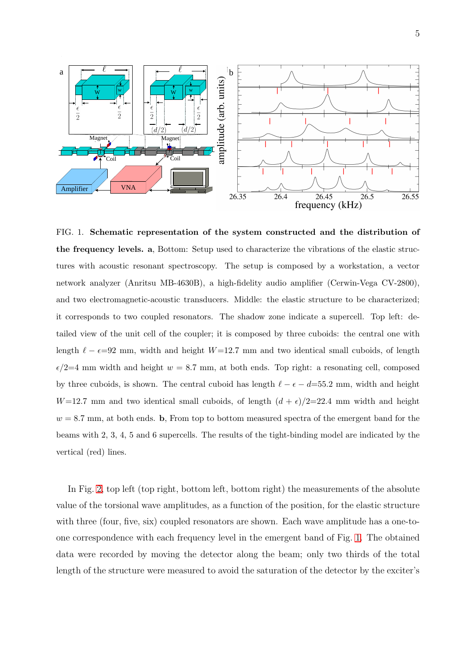

<span id="page-4-0"></span>FIG. 1. Schematic representation of the system constructed and the distribution of the frequency levels. a, Bottom: Setup used to characterize the vibrations of the elastic structures with acoustic resonant spectroscopy. The setup is composed by a workstation, a vector network analyzer (Anritsu MB-4630B), a high-fidelity audio amplifier (Cerwin-Vega CV-2800), and two electromagnetic-acoustic transducers. Middle: the elastic structure to be characterized; it corresponds to two coupled resonators. The shadow zone indicate a supercell. Top left: detailed view of the unit cell of the coupler; it is composed by three cuboids: the central one with length  $\ell - \epsilon = 92$  mm, width and height W=12.7 mm and two identical small cuboids, of length  $\epsilon/2=4$  mm width and height  $w = 8.7$  mm, at both ends. Top right: a resonating cell, composed by three cuboids, is shown. The central cuboid has length  $\ell - \epsilon - d = 55.2$  mm, width and height  $W=12.7$  mm and two identical small cuboids, of length  $(d + \epsilon)/2=22.4$  mm width and height  $w = 8.7$  mm, at both ends. b, From top to bottom measured spectra of the emergent band for the beams with 2, 3, 4, 5 and 6 supercells. The results of the tight-binding model are indicated by the vertical (red) lines.

In Fig. [2,](#page-5-0) top left (top right, bottom left, bottom right) the measurements of the absolute value of the torsional wave amplitudes, as a function of the position, for the elastic structure with three (four, five, six) coupled resonators are shown. Each wave amplitude has a one-toone correspondence with each frequency level in the emergent band of Fig. [1.](#page-4-0) The obtained data were recorded by moving the detector along the beam; only two thirds of the total length of the structure were measured to avoid the saturation of the detector by the exciter's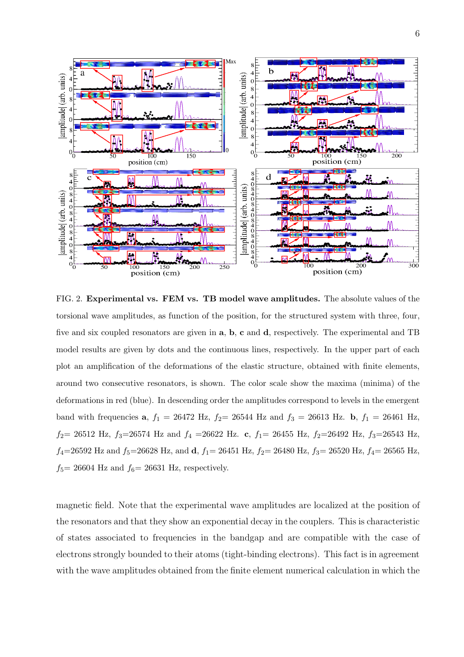

<span id="page-5-0"></span>FIG. 2. Experimental vs. FEM vs. TB model wave amplitudes. The absolute values of the torsional wave amplitudes, as function of the position, for the structured system with three, four, five and six coupled resonators are given in a, b, c and d, respectively. The experimental and TB model results are given by dots and the continuous lines, respectively. In the upper part of each plot an amplification of the deformations of the elastic structure, obtained with finite elements, around two consecutive resonators, is shown. The color scale show the maxima (minima) of the deformations in red (blue). In descending order the amplitudes correspond to levels in the emergent band with frequencies **a**,  $f_1 = 26472$  Hz,  $f_2 = 26544$  Hz and  $f_3 = 26613$  Hz. **b**,  $f_1 = 26461$  Hz,  $f_2$  = 26512 Hz,  $f_3$  = 26574 Hz and  $f_4$  = 26622 Hz. c,  $f_1$  = 26455 Hz,  $f_2$  = 26492 Hz,  $f_3$  = 26543 Hz,  $f_4$ =26592 Hz and  $f_5$ =26628 Hz, and d,  $f_1$ = 26451 Hz,  $f_2$ = 26480 Hz,  $f_3$ = 26520 Hz,  $f_4$ = 26565 Hz,  $f_5$ = 26604 Hz and  $f_6$ = 26631 Hz, respectively.

magnetic field. Note that the experimental wave amplitudes are localized at the position of the resonators and that they show an exponential decay in the couplers. This is characteristic of states associated to frequencies in the bandgap and are compatible with the case of electrons strongly bounded to their atoms (tight-binding electrons). This fact is in agreement with the wave amplitudes obtained from the finite element numerical calculation in which the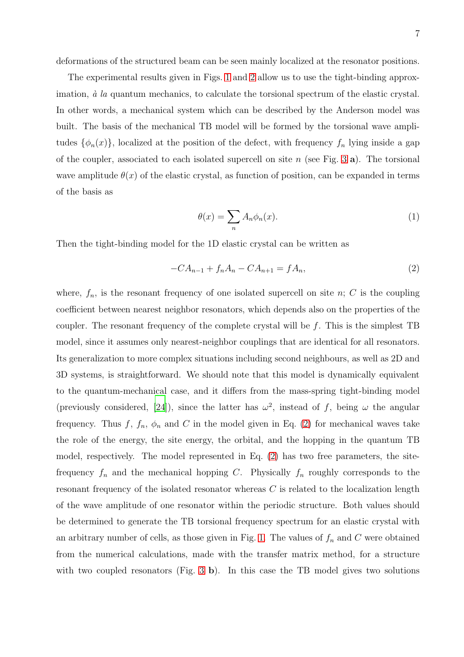deformations of the structured beam can be seen mainly localized at the resonator positions.

The experimental results given in Figs. [1](#page-4-0) and [2](#page-5-0) allow us to use the tight-binding approximation,  $\dot{a}$  la quantum mechanics, to calculate the torsional spectrum of the elastic crystal. In other words, a mechanical system which can be described by the Anderson model was built. The basis of the mechanical TB model will be formed by the torsional wave amplitudes  $\{\phi_n(x)\}\$ , localized at the position of the defect, with frequency  $f_n$  lying inside a gap of the coupler, associated to each isolated supercell on site n (see Fig. [3](#page-9-2) a). The torsional wave amplitude  $\theta(x)$  of the elastic crystal, as function of position, can be expanded in terms of the basis as

$$
\theta(x) = \sum_{n} A_n \phi_n(x). \tag{1}
$$

Then the tight-binding model for the 1D elastic crystal can be written as

<span id="page-6-0"></span>
$$
-CA_{n-1} + f_n A_n - CA_{n+1} = f A_n,
$$
\n(2)

where,  $f_n$ , is the resonant frequency of one isolated supercell on site n; C is the coupling coefficient between nearest neighbor resonators, which depends also on the properties of the coupler. The resonant frequency of the complete crystal will be  $f$ . This is the simplest TB model, since it assumes only nearest-neighbor couplings that are identical for all resonators. Its generalization to more complex situations including second neighbours, as well as 2D and 3D systems, is straightforward. We should note that this model is dynamically equivalent to the quantum-mechanical case, and it differs from the mass-spring tight-binding model (previously considered, [\[24\]](#page-11-1)), since the latter has  $\omega^2$ , instead of f, being  $\omega$  the angular frequency. Thus f,  $f_n$ ,  $\phi_n$  and C in the model given in Eq. [\(2\)](#page-6-0) for mechanical waves take the role of the energy, the site energy, the orbital, and the hopping in the quantum TB model, respectively. The model represented in Eq. [\(2\)](#page-6-0) has two free parameters, the sitefrequency  $f_n$  and the mechanical hopping C. Physically  $f_n$  roughly corresponds to the resonant frequency of the isolated resonator whereas  $C$  is related to the localization length of the wave amplitude of one resonator within the periodic structure. Both values should be determined to generate the TB torsional frequency spectrum for an elastic crystal with an arbitrary number of cells, as those given in Fig. [1.](#page-4-0) The values of  $f_n$  and C were obtained from the numerical calculations, made with the transfer matrix method, for a structure with two coupled resonators (Fig. [3](#page-9-2) b). In this case the TB model gives two solutions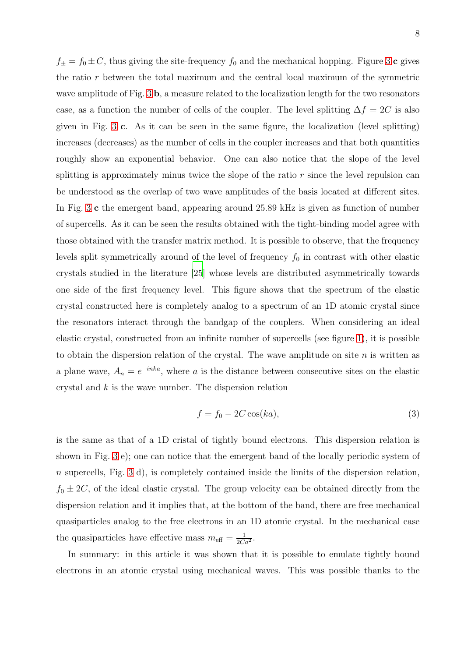$f_{\pm} = f_0 \pm C$ , thus giving the site-frequency  $f_0$  and the mechanical hopping. Figure [3](#page-9-2) c gives the ratio  $r$  between the total maximum and the central local maximum of the symmetric wave amplitude of Fig. [3](#page-9-2) b, a measure related to the localization length for the two resonators case, as a function the number of cells of the coupler. The level splitting  $\Delta f = 2C$  is also given in Fig. [3](#page-9-2) c. As it can be seen in the same figure, the localization (level splitting) increases (decreases) as the number of cells in the coupler increases and that both quantities roughly show an exponential behavior. One can also notice that the slope of the level splitting is approximately minus twice the slope of the ratio  $r$  since the level repulsion can be understood as the overlap of two wave amplitudes of the basis located at different sites. In Fig. [3](#page-9-2) c the emergent band, appearing around 25.89 kHz is given as function of number of supercells. As it can be seen the results obtained with the tight-binding model agree with those obtained with the transfer matrix method. It is possible to observe, that the frequency levels split symmetrically around of the level of frequency  $f_0$  in contrast with other elastic crystals studied in the literature [\[25\]](#page-11-2) whose levels are distributed asymmetrically towards one side of the first frequency level. This figure shows that the spectrum of the elastic crystal constructed here is completely analog to a spectrum of an 1D atomic crystal since the resonators interact through the bandgap of the couplers. When considering an ideal elastic crystal, constructed from an infinite number of supercells (see figure [1\)](#page-4-0), it is possible to obtain the dispersion relation of the crystal. The wave amplitude on site  $n$  is written as a plane wave,  $A_n = e^{-inka}$ , where a is the distance between consecutive sites on the elastic crystal and  $k$  is the wave number. The dispersion relation

$$
f = f_0 - 2C\cos(ka),\tag{3}
$$

is the same as that of a 1D cristal of tightly bound electrons. This dispersion relation is shown in Fig. [3](#page-9-2) e); one can notice that the emergent band of the locally periodic system of n supercells, Fig. [3](#page-9-2) d), is completely contained inside the limits of the dispersion relation,  $f_0 \pm 2C$ , of the ideal elastic crystal. The group velocity can be obtained directly from the dispersion relation and it implies that, at the bottom of the band, there are free mechanical quasiparticles analog to the free electrons in an 1D atomic crystal. In the mechanical case the quasiparticles have effective mass  $m_{\text{eff}} = \frac{1}{2Ca^2}$ .

In summary: in this article it was shown that it is possible to emulate tightly bound electrons in an atomic crystal using mechanical waves. This was possible thanks to the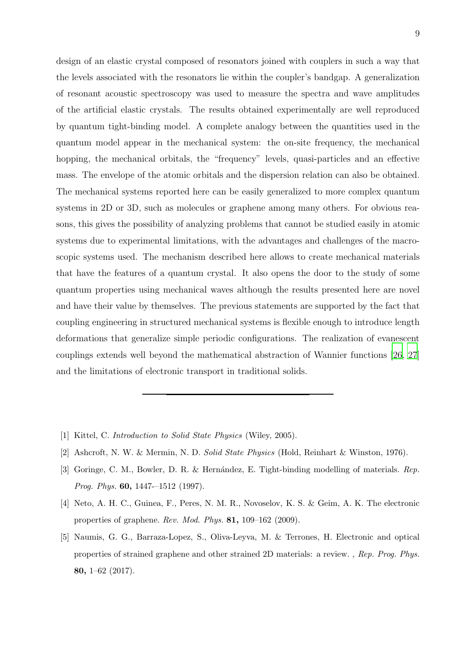design of an elastic crystal composed of resonators joined with couplers in such a way that the levels associated with the resonators lie within the coupler's bandgap. A generalization of resonant acoustic spectroscopy was used to measure the spectra and wave amplitudes of the artificial elastic crystals. The results obtained experimentally are well reproduced by quantum tight-binding model. A complete analogy between the quantities used in the quantum model appear in the mechanical system: the on-site frequency, the mechanical hopping, the mechanical orbitals, the "frequency" levels, quasi-particles and an effective mass. The envelope of the atomic orbitals and the dispersion relation can also be obtained. The mechanical systems reported here can be easily generalized to more complex quantum systems in 2D or 3D, such as molecules or graphene among many others. For obvious reasons, this gives the possibility of analyzing problems that cannot be studied easily in atomic systems due to experimental limitations, with the advantages and challenges of the macroscopic systems used. The mechanism described here allows to create mechanical materials that have the features of a quantum crystal. It also opens the door to the study of some quantum properties using mechanical waves although the results presented here are novel and have their value by themselves. The previous statements are supported by the fact that coupling engineering in structured mechanical systems is flexible enough to introduce length deformations that generalize simple periodic configurations. The realization of evanescent couplings extends well beyond the mathematical abstraction of Wannier functions [\[26,](#page-11-3) [27\]](#page-11-4) and the limitations of electronic transport in traditional solids.

- <span id="page-8-0"></span>[1] Kittel, C. *Introduction to Solid State Physics* (Wiley, 2005).
- <span id="page-8-1"></span>[2] Ashcroft, N. W. & Mermin, N. D. *Solid State Physics* (Hold, Reinhart & Winston, 1976).
- <span id="page-8-2"></span>[3] Goringe, C. M., Bowler, D. R. & Hernández, E. Tight-binding modelling of materials. *Rep. Prog. Phys.* 60, 1447-–1512 (1997).
- <span id="page-8-3"></span>[4] Neto, A. H. C., Guinea, F., Peres, N. M. R., Novoselov, K. S. & Geim, A. K. The electronic properties of graphene. *Rev. Mod. Phys.* 81, 109–162 (2009).
- <span id="page-8-4"></span>[5] Naumis, G. G., Barraza-Lopez, S., Oliva-Leyva, M. & Terrones, H. Electronic and optical properties of strained graphene and other strained 2D materials: a review. *, Rep. Prog. Phys.* 80, 1–62 (2017).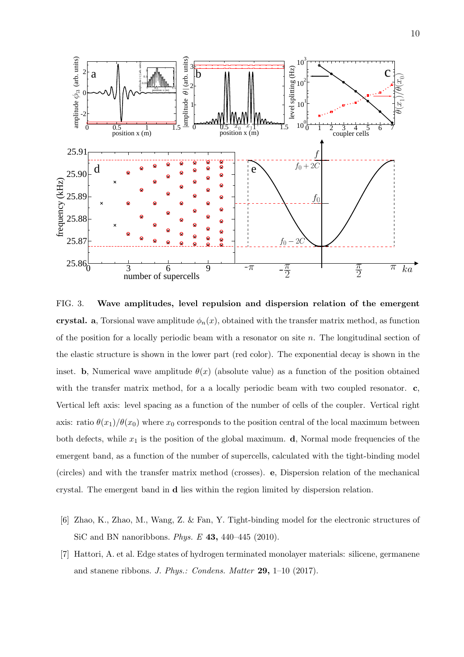

<span id="page-9-2"></span>FIG. 3. Wave amplitudes, level repulsion and dispersion relation of the emergent crystal. a, Torsional wave amplitude  $\phi_n(x)$ , obtained with the transfer matrix method, as function of the position for a locally periodic beam with a resonator on site  $n$ . The longitudinal section of the elastic structure is shown in the lower part (red color). The exponential decay is shown in the inset. b, Numerical wave amplitude  $\theta(x)$  (absolute value) as a function of the position obtained with the transfer matrix method, for a a locally periodic beam with two coupled resonator. **c**, Vertical left axis: level spacing as a function of the number of cells of the coupler. Vertical right axis: ratio  $\theta(x_1)/\theta(x_0)$  where  $x_0$  corresponds to the position central of the local maximum between both defects, while  $x_1$  is the position of the global maximum.  $\mathbf d$ , Normal mode frequencies of the emergent band, as a function of the number of supercells, calculated with the tight-binding model (circles) and with the transfer matrix method (crosses). e, Dispersion relation of the mechanical crystal. The emergent band in d lies within the region limited by dispersion relation.

- <span id="page-9-0"></span>[6] Zhao, K., Zhao, M., Wang, Z. & Fan, Y. Tight-binding model for the electronic structures of SiC and BN nanoribbons. *Phys. E* 43, 440–445 (2010).
- <span id="page-9-1"></span>[7] Hattori, A. et al. Edge states of hydrogen terminated monolayer materials: silicene, germanene and stanene ribbons. *J. Phys.: Condens. Matter* 29, 1–10 (2017).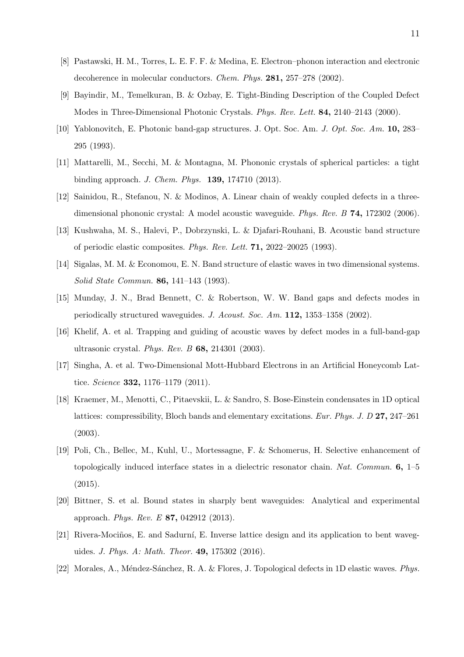- <span id="page-10-0"></span>[8] Pastawski, H. M., Torres, L. E. F. F. & Medina, E. Electron–phonon interaction and electronic decoherence in molecular conductors. *Chem. Phys.* 281, 257–278 (2002).
- <span id="page-10-1"></span>[9] Bayindir, M., Temelkuran, B. & Ozbay, E. Tight-Binding Description of the Coupled Defect Modes in Three-Dimensional Photonic Crystals. *Phys. Rev. Lett.* 84, 2140–2143 (2000).
- <span id="page-10-2"></span>[10] Yablonovitch, E. Photonic band-gap structures. J. Opt. Soc. Am. *J. Opt. Soc. Am.* 10, 283– 295 (1993).
- <span id="page-10-3"></span>[11] Mattarelli, M., Secchi, M. & Montagna, M. Phononic crystals of spherical particles: a tight binding approach. *J. Chem. Phys.* 139, 174710 (2013).
- [12] Sainidou, R., Stefanou, N. & Modinos, A. Linear chain of weakly coupled defects in a threedimensional phononic crystal: A model acoustic waveguide. *Phys. Rev. B* 74, 172302 (2006).
- [13] Kushwaha, M. S., Halevi, P., Dobrzynski, L. & Djafari-Rouhani, B. Acoustic band structure of periodic elastic composites. *Phys. Rev. Lett.* 71, 2022–20025 (1993).
- [14] Sigalas, M. M. & Economou, E. N. Band structure of elastic waves in two dimensional systems. *Solid State Commun.* 86, 141–143 (1993).
- [15] Munday, J. N., Brad Bennett, C. & Robertson, W. W. Band gaps and defects modes in periodically structured waveguides. *J. Acoust. Soc. Am.* 112, 1353–1358 (2002).
- <span id="page-10-4"></span>[16] Khelif, A. et al. Trapping and guiding of acoustic waves by defect modes in a full-band-gap ultrasonic crystal. *Phys. Rev. B* 68, 214301 (2003).
- <span id="page-10-5"></span>[17] Singha, A. et al. Two-Dimensional Mott-Hubbard Electrons in an Artificial Honeycomb Lattice. *Science* 332, 1176–1179 (2011).
- <span id="page-10-6"></span>[18] Kraemer, M., Menotti, C., Pitaevskii, L. & Sandro, S. Bose-Einstein condensates in 1D optical lattices: compressibility, Bloch bands and elementary excitations. *Eur. Phys. J. D* 27, 247–261 (2003).
- <span id="page-10-7"></span>[19] Poli, Ch., Bellec, M., Kuhl, U., Mortessagne, F. & Schomerus, H. Selective enhancement of topologically induced interface states in a dielectric resonator chain. *Nat. Commun.* 6, 1–5 (2015).
- <span id="page-10-8"></span>[20] Bittner, S. et al. Bound states in sharply bent waveguides: Analytical and experimental approach. *Phys. Rev. E* 87, 042912 (2013).
- <span id="page-10-9"></span>[21] Rivera-Mociños, E. and Sadurní, E. Inverse lattice design and its application to bent waveguides. *J. Phys. A: Math. Theor.* 49, 175302 (2016).
- <span id="page-10-10"></span>[22] Morales, A., M´endez-S´anchez, R. A. & Flores, J. Topological defects in 1D elastic waves. *Phys.*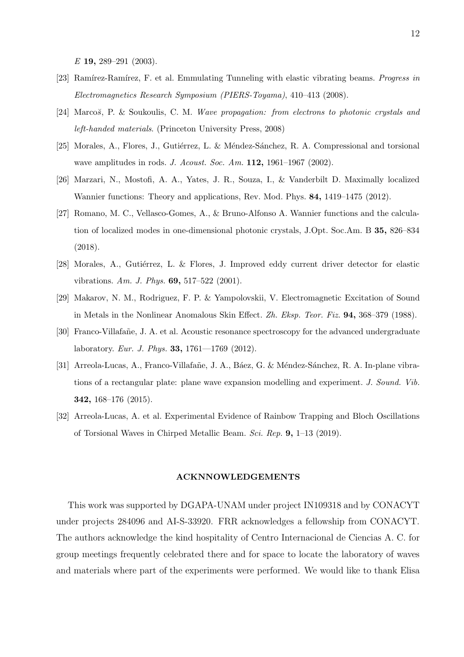*E* 19, 289–291 (2003).

- <span id="page-11-0"></span>[23] Ram´ırez-Ram´ırez, F. et al. Emmulating Tunneling with elastic vibrating beams. *Progress in Electromagnetics Research Symposium (PIERS-Toyama)*, 410–413 (2008).
- <span id="page-11-1"></span>[24] Marco*š*, P. & Soukoulis, C. M. *Wave propagation: from electrons to photonic crystals and left-handed materials*. (Princeton University Press, 2008)
- <span id="page-11-2"></span>[25] Morales, A., Flores, J., Gutiérrez, L. & Méndez-Sánchez, R. A. Compressional and torsional wave amplitudes in rods. *J. Acoust. Soc. Am.* 112, 1961–1967 (2002).
- <span id="page-11-3"></span>[26] Marzari, N., Mostofi, A. A., Yates, J. R., Souza, I., & Vanderbilt D. Maximally localized Wannier functions: Theory and applications, Rev. Mod. Phys. 84, 1419–1475 (2012).
- <span id="page-11-4"></span>[27] Romano, M. C., Vellasco-Gomes, A., & Bruno-Alfonso A. Wannier functions and the calculation of localized modes in one-dimensional photonic crystals, J.Opt. Soc.Am. B 35, 826–834 (2018).
- <span id="page-11-5"></span>[28] Morales, A., Gutiérrez, L. & Flores, J. Improved eddy current driver detector for elastic vibrations. *Am. J. Phys.* 69, 517–522 (2001).
- <span id="page-11-6"></span>[29] Makarov, N. M., Rodriguez, F. P. & Yampolovskii, V. Electromagnetic Excitation of Sound in Metals in the Nonlinear Anomalous Skin Effect. *Zh. Eksp. Teor. Fiz.* 94, 368–379 (1988).
- <span id="page-11-7"></span>[30] Franco-Villafañe, J. A. et al. Acoustic resonance spectroscopy for the advanced undergraduate laboratory. *Eur. J. Phys.* 33, 1761—1769 (2012).
- <span id="page-11-8"></span>[31] Arreola-Lucas, A., Franco-Villafañe, J. A., Báez, G. & Méndez-Sánchez, R. A. In-plane vibrations of a rectangular plate: plane wave expansion modelling and experiment. *J. Sound. Vib.* 342, 168–176 (2015).
- <span id="page-11-9"></span>[32] Arreola-Lucas, A. et al. Experimental Evidence of Rainbow Trapping and Bloch Oscillations of Torsional Waves in Chirped Metallic Beam. *Sci. Rep.* 9, 1–13 (2019).

## ACKNNOWLEDGEMENTS

This work was supported by DGAPA-UNAM under project IN109318 and by CONACYT under projects 284096 and AI-S-33920. FRR acknowledges a fellowship from CONACYT. The authors acknowledge the kind hospitality of Centro Internacional de Ciencias A. C. for group meetings frequently celebrated there and for space to locate the laboratory of waves and materials where part of the experiments were performed. We would like to thank Elisa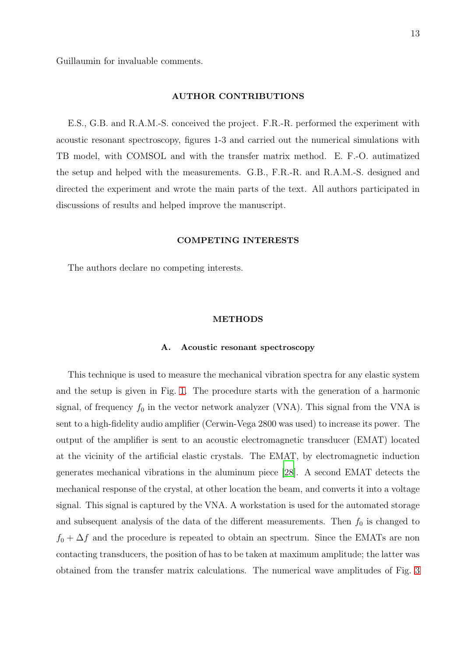Guillaumin for invaluable comments.

#### AUTHOR CONTRIBUTIONS

E.S., G.B. and R.A.M.-S. conceived the project. F.R.-R. performed the experiment with acoustic resonant spectroscopy, figures 1-3 and carried out the numerical simulations with TB model, with COMSOL and with the transfer matrix method. E. F.-O. autimatized the setup and helped with the measurements. G.B., F.R.-R. and R.A.M.-S. designed and directed the experiment and wrote the main parts of the text. All authors participated in discussions of results and helped improve the manuscript.

#### COMPETING INTERESTS

The authors declare no competing interests.

## METHODS

### A. Acoustic resonant spectroscopy

This technique is used to measure the mechanical vibration spectra for any elastic system and the setup is given in Fig. [1.](#page-4-0) The procedure starts with the generation of a harmonic signal, of frequency  $f_0$  in the vector network analyzer (VNA). This signal from the VNA is sent to a high-fidelity audio amplifier (Cerwin-Vega 2800 was used) to increase its power. The output of the amplifier is sent to an acoustic electromagnetic transducer (EMAT) located at the vicinity of the artificial elastic crystals. The EMAT, by electromagnetic induction generates mechanical vibrations in the aluminum piece [\[28](#page-11-5)]. A second EMAT detects the mechanical response of the crystal, at other location the beam, and converts it into a voltage signal. This signal is captured by the VNA. A workstation is used for the automated storage and subsequent analysis of the data of the different measurements. Then  $f_0$  is changed to  $f_0 + \Delta f$  and the procedure is repeated to obtain an spectrum. Since the EMATs are non contacting transducers, the position of has to be taken at maximum amplitude; the latter was obtained from the transfer matrix calculations. The numerical wave amplitudes of Fig. [3](#page-9-2)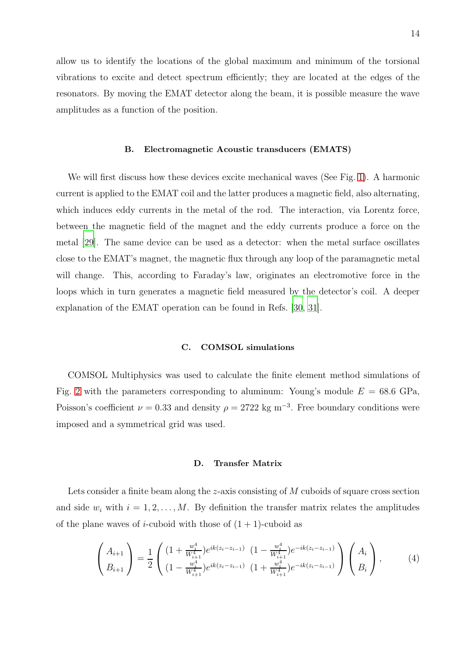allow us to identify the locations of the global maximum and minimum of the torsional vibrations to excite and detect spectrum efficiently; they are located at the edges of the resonators. By moving the EMAT detector along the beam, it is possible measure the wave amplitudes as a function of the position.

## B. Electromagnetic Acoustic transducers (EMATS)

We will first discuss how these devices excite mechanical waves (See Fig. [1\)](#page-4-0). A harmonic current is applied to the EMAT coil and the latter produces a magnetic field, also alternating, which induces eddy currents in the metal of the rod. The interaction, via Lorentz force, between the magnetic field of the magnet and the eddy currents produce a force on the metal [\[29](#page-11-6)]. The same device can be used as a detector: when the metal surface oscillates close to the EMAT's magnet, the magnetic flux through any loop of the paramagnetic metal will change. This, according to Faraday's law, originates an electromotive force in the loops which in turn generates a magnetic field measured by the detector's coil. A deeper explanation of the EMAT operation can be found in Refs. [\[30](#page-11-7), [31\]](#page-11-8).

## C. COMSOL simulations

COMSOL Multiphysics was used to calculate the finite element method simulations of Fig. [2](#page-5-0) with the parameters corresponding to aluminum: Young's module  $E = 68.6$  GPa, Poisson's coefficient  $\nu = 0.33$  and density  $\rho = 2722$  kg m<sup>-3</sup>. Free boundary conditions were imposed and a symmetrical grid was used.

#### D. Transfer Matrix

Lets consider a finite beam along the z-axis consisting of M cuboids of square cross section and side  $w_i$  with  $i = 1, 2, \ldots, M$ . By definition the transfer matrix relates the amplitudes of the plane waves of *i*-cuboid with those of  $(1 + 1)$ -cuboid as

$$
\begin{pmatrix} A_{i+1} \\ B_{i+1} \end{pmatrix} = \frac{1}{2} \begin{pmatrix} \left(1 + \frac{w_i^4}{W_{i+1}^4}\right) e^{ik(z_i - z_{i-1})} & \left(1 - \frac{w_i^4}{W_{i+1}^4}\right) e^{-ik(z_i - z_{i-1})} \\ \left(1 - \frac{w_i^4}{W_{i+1}^4}\right) e^{ik(z_i - z_{i-1})} & \left(1 + \frac{w_i^4}{W_{i+1}^4}\right) e^{-ik(z_i - z_{i-1})} \end{pmatrix} \begin{pmatrix} A_i \\ B_i \end{pmatrix}, \tag{4}
$$